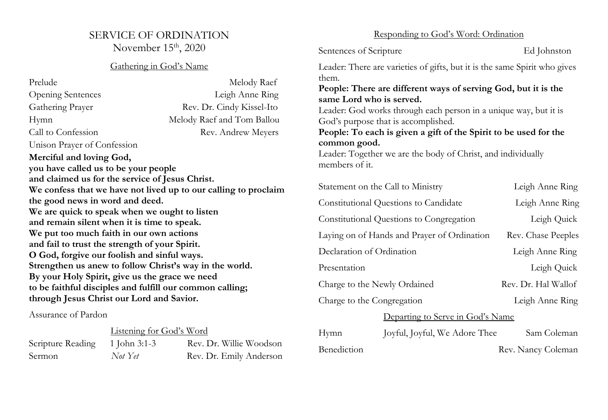## SERVICE OF ORDINATION November 15<sup>th</sup>, 2020

## Gathering in God's Name

| Prelude                                                         | Melody Raef                |  |  |
|-----------------------------------------------------------------|----------------------------|--|--|
| <b>Opening Sentences</b>                                        | Leigh Anne Ring            |  |  |
| Gathering Prayer                                                | Rev. Dr. Cindy Kissel-Ito  |  |  |
| Hymn                                                            | Melody Raef and Tom Ballou |  |  |
| Call to Confession                                              | Rev. Andrew Meyers         |  |  |
| Unison Prayer of Confession                                     |                            |  |  |
| Merciful and loving God,                                        |                            |  |  |
| you have called us to be your people                            |                            |  |  |
| and claimed us for the service of Jesus Christ.                 |                            |  |  |
| We confess that we have not lived up to our calling to proclaim |                            |  |  |
| the good news in word and deed.                                 |                            |  |  |
| We are quick to speak when we ought to listen                   |                            |  |  |
| and remain silent when it is time to speak.                     |                            |  |  |
| We put too much faith in our own actions                        |                            |  |  |
| and fail to trust the strength of your Spirit.                  |                            |  |  |
| O God, forgive our foolish and sinful ways.                     |                            |  |  |
| Strengthen us anew to follow Christ's way in the world.         |                            |  |  |
| By your Holy Spirit, give us the grace we need                  |                            |  |  |
| to be faithful disciples and fulfill our common calling;        |                            |  |  |
| through Jesus Christ our Lord and Savior.                       |                            |  |  |

Assurance of Pardon

|                                | Listening for God's Word |                         |
|--------------------------------|--------------------------|-------------------------|
| Scripture Reading 1 John 3:1-3 |                          | Rev. Dr. Willie Woodson |
| Sermon                         | Not Yet                  | Rev. Dr. Emily Anderson |

## Responding to God's Word: Ordination

Sentences of Scripture Ed Johnston Leader: There are varieties of gifts, but it is the same Spirit who gives them. **People: There are different ways of serving God, but it is the same Lord who is served.**

Leader: God works through each person in a unique way, but it is God's purpose that is accomplished.

**People: To each is given a gift of the Spirit to be used for the common good.**

Leader: Together we are the body of Christ, and individually members of it.

| Statement on the Call to Ministry           | Leigh Anne Ring     |  |  |
|---------------------------------------------|---------------------|--|--|
| Constitutional Questions to Candidate       | Leigh Anne Ring     |  |  |
| Constitutional Questions to Congregation    | Leigh Quick         |  |  |
| Laying on of Hands and Prayer of Ordination | Rev. Chase Peeples  |  |  |
| Declaration of Ordination                   | Leigh Anne Ring     |  |  |
| Presentation                                | Leigh Quick         |  |  |
| Charge to the Newly Ordained                | Rev. Dr. Hal Wallof |  |  |
| Charge to the Congregation                  | Leigh Anne Ring     |  |  |
| Departing to Serve in God's Name            |                     |  |  |

| Hymn        | Joyful, Joyful, We Adore Thee | Sam Coleman        |
|-------------|-------------------------------|--------------------|
| Benediction |                               | Rev. Nancy Coleman |